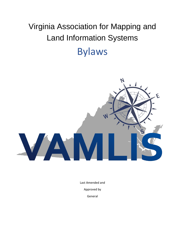# Virginia Association for Mapping and Land Information Systems Bylaws



Last Amended and Approved by General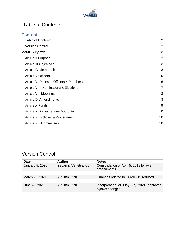

## <span id="page-1-0"></span>Table of Contents

| <b>Table of Contents</b>                         |                |
|--------------------------------------------------|----------------|
| <b>Version Control</b>                           | $\overline{2}$ |
| <b>VAMLIS Bylaws</b>                             | 3              |
| Article II Purpose                               | 3              |
| Article III Objectives                           | 3              |
| Article IV Membership                            | 3              |
| <b>Article V Officers</b>                        | 5              |
| Article VI Duties of Officers & Members          | 6              |
| <b>Article VII - Nominations &amp; Elections</b> | $\overline{7}$ |
| <b>Article VIII Meetings</b>                     |                |
| <b>Article IX Amendments</b>                     | 8              |
| Article X Funds                                  | 9              |
| <b>Article XI Parliamentary Authority</b>        | 10             |
| <b>Article XII Policies &amp; Procedures</b>     | 10             |
| <b>Article XIII Committees</b>                   | 10             |

### <span id="page-1-1"></span>Version Control

| <b>Date</b>     | <b>Author</b>             | <b>Notes</b>                                             |
|-----------------|---------------------------|----------------------------------------------------------|
| January 5, 2020 | <b>Yeoanny Venetsanos</b> | Consolidation of April 5, 2018 bylaws<br>amendments      |
|                 |                           |                                                          |
| March 25, 2021  | Autumn Fitch              | Changes related to COVID-19 redlined                     |
|                 |                           |                                                          |
| June 28, 2021   | Autumn Fitch              | Incorporation of May 27, 2021 approved<br>bylaws changes |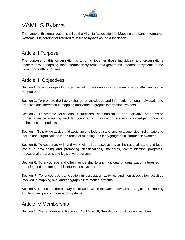

# <span id="page-2-0"></span>VAMLIS Bylaws

The name of this organization shall be the Virginia Association for Mapping and Land Information Systems. It is hereinafter referred to in these bylaws as the Association.

#### <span id="page-2-1"></span>Article II Purpose

The purpose of this organization is to bring together those individuals and organizations concerned with mapping, land information systems, and geographic information systems in the Commonwealth of Virginia.

#### <span id="page-2-2"></span>Article III Objectives

Section 1. To encourage a high standard of professionalism as a means to more effectively serve the public

Section 2. To promote the free exchange of knowledge and information among individuals and organizations interested in mapping and land/geographic information systems

Section 3. To promote educational, instructional, communication, and legislative programs to further advance mapping and land/geographic information systems knowledge, concepts, techniques and projects

Section 4. To provide advice and assistance to federal, state, and local agencies and private and institutional organizations in the areas of mapping and land/geographic information systems

Section 5. To cooperate with and work with allied associations at the national, state and local levels in developing and promoting classifications, standards, communication programs, educational programs and legislative programs

Section 6. To encourage and offer membership to any individual or organization interested in mapping and land/geographic information systems

Section 7. To encourage participation in association activities and non-association activities involved in mapping and land/geographic information systems

Section 8. To become the primary association within the Commonwealth of Virginia for mapping and land/geographic information systems.

#### <span id="page-2-3"></span>Article IV Membership

Section 1. Charter Members: Repealed April 5, 2018; See Section 5. Honorary members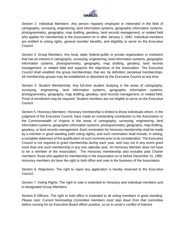

Section 2. Individual Members: Any person regularly employed or interested in the field of cartography, surveying, engineering, land information systems, geographic information systems, photogrammetry, geography, map drafting, geodesy, land records management, or related field who applies for membership in the Association on or after January 1, 1991. Individual members are entitled to voting rights, general member benefits, and eligibility to serve on the Executive Council.

Section 3. Group Members: Any local, state, federal public or private organization or institution that has an interest in cartography, surveying, engineering, land information systems, geographic information systems, photogrammetry, geography, map drafting, geodesy, land records management, or related field and supports the objectives of the Association. The Executive Council shall establish the group memberships, that are, by definition, perpetual memberships. All membership groups may be established or dissolved by the Executive Council at any time.

Section 4. Student Membership: Any full-time student studying in the areas of cartography, surveying, engineering, land information systems, geographic information systems, photogrammetry, geography, map drafting, geodesy, land records management, or related field. Proof of enrollment may be required. Student members are not eligible to serve on the Executive Council.

Section 5. Honorary Members: Honorary membership is limited to those individuals whom, in the judgment of the Executive Council, have made an outstanding contribution to the Association or the Commonwealth of Virginia in the areas of cartography, surveying, engineering, land information systems, geographic information systems, photogrammetry, geography, map drafting, geodesy, or land records management. Each nomination for honorary membership shall be made by a member in good standing (with voting rights), and such nomination shall include, in writing, a complete statement of the qualification of such nominee prior to its consideration. The Executive Council is not required to grant membership during each year, and may not in any event grant more than one such membership in any one calendar year. An Honorary Member does not have to be a member of the Association. The Honorary membership also includes past Charter members: those who applied for membership in the Association on or before December 31, 1990. Honorary members do have the right to hold office and vote in the business of the Association.

Section 6. Rejections: The right to reject any application is hereby reserved to the Executive Council.

Section 7. Voting Rights: The right to vote is extended to Honorary and Individual members and to designated Group Members.

Section 8 Officers: The right to hold office is extended to all voting members in good standing. *Please note: Current Nominating Committee members must step down from that committee before running for an Executive Board officer position, so as to avoid a conflict of interest.*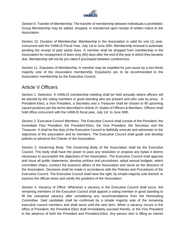

Section 9. Transfer of Membership: The transfer of membership between individuals is prohibited. Group Membership may be added, dropped, or transferred upon receipt of written notice to the Association.

Section 10. Duration of Membership: Membership in the Association is valid for one (1) year, concurrent with the VAMLIS Fiscal Year, July 1st to June 30th. Membership renewal is automatic pending the receipt of paid yearly dues. A member shall be dropped from membership in the Association for nonpayment of dues sixty (60) days after the end of the year in which they became due. Membership will not be pro-rated if purchased between conferences.

Section 11. Expulsion of Membership: A member may be expelled for just cause by a two-thirds majority vote of the Association membership. Expulsions are to be recommended to the Association membership by the Executive Council.

#### <span id="page-4-0"></span>Article V Officers

Section 1. Selection: A VAMLIS membership meeting shall be held annually where officers will be elected by the voting members in good standing who are present and who vote by proxy. A President-Elect, a Vice President, a Secretary and a Treasurer shall be chosen to fill upcoming vacant positions per the terms described in Article VI: Duties of Officers & Members. Officers shall hold office concurrent with the VAMLIS fiscal year, July 1st to June 30th.

Section 2. Executive Council Members: The Executive Council shall consist of the President, the immediate Past President, the President-Elect, the Vice President, the Secretary and the Treasurer. It shall be the duty of the Executive Council to faithfully execute and administer to the objectives of the association and its members. The Executive Council shall guide and develop policies to advance the Charter of the Association.

Section 3. Governing Body: The Governing Body of the Association shall be the Executive Council. This body shall have the power to pass any resolution or propose any bylaw it deems necessary to accomplish the objectives of the Association. The Executive Council shall approve and issue all public statements, develop policies and procedures, adopt annual budgets, select committee chairs, conduct the business affairs of the Association and serve as the directors of the Association. Decisions shall be made in accordance with the Policies and Procedures of the Executive Council. The Executive Council shall have the right, by simple majority vote thereof, to express the official views and certify the positions of the Association.

Section 4. Vacancy of Office: Whenever a vacancy in the Executive Council shall occur, the remaining members of the Executive Council shall appoint a voting member in good standing to fill the unexpired vacancy after considering any recommendations from the Nominating Committee. Said candidate shall be confirmed by a simple majority vote of the remaining executive council members and shall serve until the next term. When a vacancy occurs in the office of President, the President-Elect shall immediately succeed thereto, or the Vice President in the absence of both the President and President-Elect. Any person who is filling an interim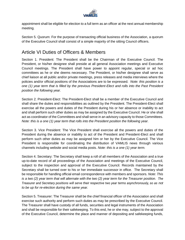

appointment shall be eligible for election to a full term as an officer at the next annual membership meeting.

Section 5. Quorum: For the purpose of transacting official business of the Association, a quorum of the Executive Council shall consist of a simple majority of the sitting Council officers.

#### <span id="page-5-0"></span>Article VI Duties of Officers & Members

Section 1. President: The President shall be the Chairman of the Executive Council. The President, or his/her designee shall preside at all general Association meetings and Executive Council meetings. The President shall have power to appoint regular, special or ad hoc committees as he or she deems necessary. The President, or his/her designee shall serve as chief liaison at all public and/or private meetings, press releases and media interviews where the policies and/or official positions of the Associations are to be expressed. *Note: this position is a one (1) year term that is filled by the previous President-Elect and rolls into the Past President position the following year.*

Section 2. President-Elect: The President-Elect shall be a member of the Executive Council and shall share the duties and responsibilities as outlined by the President. The President-Elect shall exercise all the powers and duties of the President during his or her absence or inability to act and shall perform such other duties as may be assigned by the Executive Council. He or she shall act as coordinator of the Committees and shall serve in an advisory capacity to those Committees. *Note: this is a one (1) year term that rolls into the President position the following year.*

Section 3. Vice President: The Vice President shall exercise all the powers and duties of the President during the absence or inability to act of the President and President-Elect and shall perform such other duties as may be assigned him or her by the Executive Council. The Vice President is responsible for coordinating the distribution of VAMLIS news through various channels including website and social media posts. *Note: this is a one (1) year term.*

Section 4. Secretary: The Secretary shall keep a roll of all members of the Association and a true up-to-date record of all proceedings of the Association and meetings of the Executive Council, subject to the inspection and approval of the Executive Council. Records maintained by the Secretary shall be turned over to his or her immediate successor in office. The Secretary shall be responsible for handling official email correspondence with members and sponsors. *Note*: *This is a two (2) year term that will alternate with the two (2) year term for the Treasurer position. The Treasurer and Secretary positions will serve their respective two year terms asynchronously, so as not to be up for re-election during the same year.*

Section 5. Treasurer: The Treasurer shall be the chief financial officer of the Association and shall exercise such authority and perform such duties as may be prescribed by the Executive Council. The Treasurer shall have custody of all funds, securities and legal instruments of the Association and shall be responsible for their safekeeping. To this end, he or she may, subject to the approval of the Executive Council, determine the place and manner of depositing and safekeeping funds,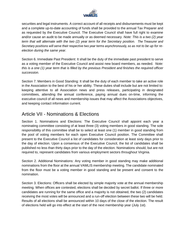

securities and legal instruments. A correct account of all receipts and disbursements must be kept and a complete up-to-date accounting of funds shall be provided to the annual Tax Preparer and as requested by the Executive Council. The Executive Council shall have full right to examine and/or cause an audit to be made annually or as deemed necessary. *Note: This is a two (2) year term that will alternate with the two (2) year term for the Secretary position. The Treasurer and Secretary positions will serve their respective two year terms asynchronously, so as not to be up for reelection during the same year.*

Section 6. Immediate Past President: It shall be the duty of the immediate past president to serve as a voting member of the Executive Council and assist new board members, as needed. *Note: this is a one (1) year term that is filled by the previous President and finishes the required officer succession.*

Section 7. Members in Good Standing: It shall be the duty of each member to take an active role in the Association to the best of his or her ability. These duties shall include but are not limited to: keeping attentive to all Association news and press releases, participating in designated committees, attending the annual conference, paying annual dues on-time, informing the executive council of all news and membership issues that may affect the Associations objectives, and keeping contact information current.

#### <span id="page-6-0"></span>Article VII - Nominations & Elections

Section 1. Nominations and Elections: The Executive Council shall appoint each year a nominating committee consisting of at least three (3) voting members in good standing. The sole responsibility of this committee shall be to select at least one (1) member in good standing from the pool of voting members for each open Executive Council position. The Committee shall present to the Executive Council a list of candidates for consideration at least sixty days prior to the day of election. Upon a consensus of the Executive Council, the list of candidates shall be published no less than thirty days prior to the day of the election. Nominations should, but are not required to, represent candidates from various employment sectors throughout Virginia.

Section 2. Additional Nominations: Any voting member in good standing may make additional nominations from the floor at the annual VAMLIS membership meeting. The candidate nominated from the floor must be a voting member in good standing and be present and consent to the nomination.

Section 3. Elections: Officers shall be elected by simple majority vote at the annual membership meeting. When offices are contested, elections shall be decided by secret ballot. If three or more candidates are running for the same office and a majority is not obtained, the two (2) candidates receiving the most votes will be announced and a run-off election between these two will be held. Results of all elections shall be announced within 10 days of the close of the election. The result of elections held will go into effect at the start of the next membership year (July 1st).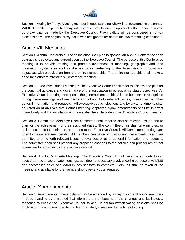

Section 4. Voting by Proxy: A voting member in good standing who will not be attending the annual VAMLIS membership meeting may vote by proxy. Validation and approval of the manner of a vote by proxy shall be made by the Executive Council. Proxy ballots will be considered in run-off elections only if the original proxy ballot was designated for one of the two remaining candidates.

#### <span id="page-7-0"></span>Article VIII Meetings

Section 1. Annual Conference: The association shall plan to sponsor an Annual Conference each year at a site selected and agreed upon by the Executive Council. The purpose of this Conference meeting is to provide training and promote awareness of mapping, geographic and land information systems as well as discuss topics pertaining to the Association's purpose and objectives with participation from the entire membership. The entire membership shall make a good faith effort to attend this Conference meeting.

Section 2. Executive Council Meetings: The Executive Council shall meet to discuss and plan for the continual guidance and governance of the association in pursuit of its stated objectives. All Executive Council meetings are open to the general membership. All members can be recognized during these meetings and are permitted to bring forth relevant issues, grievances, or other general information and requests. All executive council elections and bylaw amendments shall be voted on at an Executive Council meeting. Approved bylaw amendments shall be in effect immediately and the installation of officers shall take place during an Executive Council meeting.

Section 3. Committee Meetings: Each committee shall meet to discuss relevant issues and to plan for the achievement of their assigned duties. The committee chair shall take minutes, or enlist a scribe to take minutes, and report to the Executive Council. All Committee meetings are open to the general membership. All members can be recognized during these meetings and are permitted to bring forth relevant issues, grievances, or other general information and requests. The committee chair shall present any proposed changes to the policies and procedures of that committee for approval by the executive council.

Section 4. Ad-Hoc & Private Meetings: The Executive Council shall have the authority to call special ad-hoc and/or private meetings, as it deems necessary to advance the purpose of VAMLIS and accomplish objectives VAMLIS has set forth to complete. Minutes shall be taken of the meeting and available for the membership to review upon request.

#### <span id="page-7-1"></span>Article IX Amendments

Section 1. Amendments: These bylaws may be amended by a majority vote of voting members in good standing by a method that informs the membership of the changes and facilitates a response to enable the Executive Council to act. In person written voting sessions shall be publicly disclosed to membership no less than thirty days prior to the time of voting.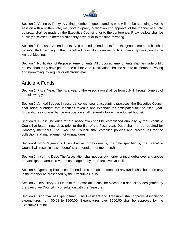

Section 2. Voting by Proxy: A voting member in good standing who will not be attending a voting session with a written vote, may vote by proxy. Validation and approval of the manner of a vote by proxy shall be made by the Executive Council prior to the conference. Proxy ballots shall be publicly disclosed to membership thirty days prior to the time of voting.

Section 3. Proposed Amendments: All proposed amendments from the general membership shall be submitted in writing, to the Executive Council for its review no later than sixty days prior to the Annual Meeting.

Section 4. Notification of Proposed Amendments: All proposed amendments shall be made public no less than thirty days prior to the call for vote. Notification shall be sent to all members, voting and non-voting, by regular or electronic mail.

#### <span id="page-8-0"></span>Article X Funds

Section 1. Fiscal Year: The fiscal year of the Association shall be from July 1 through June 30 of the following year.

Section 2. Annual Budget: In accordance with sound accounting practices, the Executive Council shall adopt a budget that identifies revenue and expenditures anticipated for the fiscal year. Expenditures incurred by the Association shall generally follow the adopted budget.

Section 3. Dues: The dues for the Association shall be established annually by the Executive Council at least ninety days prior to the first of the fiscal year. Dues shall not be required for Honorary members. The Executive Council shall establish policies and procedures for the collection and management of Annual dues.

Section 4. Non-Payment of Dues: Failure to pay dues by the date specified by the Executive Council will result in loss of benefits and forfeiture of membership.

Section 5. Incurring Debt: The Association shall not borrow money or incur debts over and above the anticipated annual revenue as budgeted by the Executive Council.

Section 6. Operating Expenses: Expenditures or disbursements of any funds shall be made only in the manner as prescribed by the Executive Council.

Section 7. Depository: All funds of the Association shall be placed in a depository designated by the Executive Council in consultation with the Treasurer.

Section 8. Approval of Expenditures: The President and Treasurer shall approve Association expenditures from \$0.01 to \$500.00. Expenditures over \$500.00 shall be approved by the Executive Council.